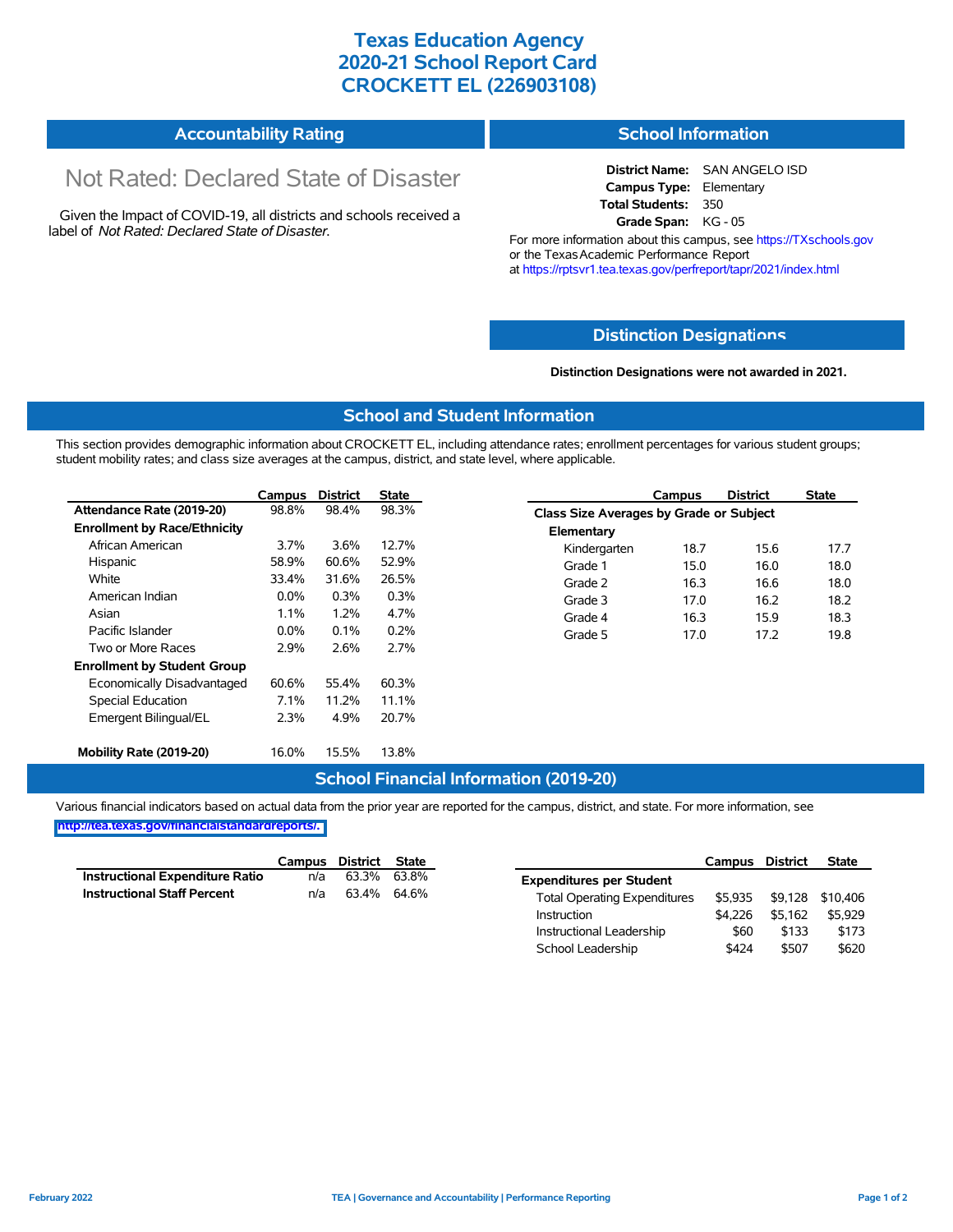## **Texas Education Agency 2020-21 School Report Card CROCKETT EL (226903108)**

# **Accountability Rating**

# Not Rated: Declared State of Disaster

Given the Impact of COVID-19, all districts and schools received a label of *Not Rated: Declared State of Disaster.*

#### **School Information**

**District Name:** SAN ANGELO ISD **Campus Type:** Elementary **Total Students:** 350 **Grade Span:** KG - 05

For more information about this campus, see https://TXschools.gov or the Texas Academic Performance Report at https://rptsvr1.tea.texas.gov/perfreport/tapr/2021/index.html

#### **Distinction Designat[ions](https://TXschools.gov)**

**Distinction Designations were not awarded in 2021.**

School Leadership  $$424$  \$507 \$620

#### **School and Student Information**

This section provides demographic information about CROCKETT EL, including attendance rates; enrollment percentages for various student groups; student mobility rates; and class size averages at the campus, district, and state level, where applicable.

|                                     | Campus  | <b>District</b> | State |              | Campus                                  | <b>District</b> | <b>State</b> |  |  |  |
|-------------------------------------|---------|-----------------|-------|--------------|-----------------------------------------|-----------------|--------------|--|--|--|
| Attendance Rate (2019-20)           | 98.8%   | 98.4%           | 98.3% |              | Class Size Averages by Grade or Subject |                 |              |  |  |  |
| <b>Enrollment by Race/Ethnicity</b> |         |                 |       | Elementary   |                                         |                 |              |  |  |  |
| African American                    | 3.7%    | 3.6%            | 12.7% | Kindergarten | 18.7                                    | 15.6            | 17.7         |  |  |  |
| Hispanic                            | 58.9%   | 60.6%           | 52.9% | Grade 1      | 15.0                                    | 16.0            | 18.0         |  |  |  |
| White                               | 33.4%   | 31.6%           | 26.5% | Grade 2      | 16.3                                    | 16.6            | 18.0         |  |  |  |
| American Indian                     | $0.0\%$ | 0.3%            | 0.3%  | Grade 3      | 17.0                                    | 16.2            | 18.2         |  |  |  |
| Asian                               | $1.1\%$ | 1.2%            | 4.7%  | Grade 4      | 16.3                                    | 15.9            | 18.3         |  |  |  |
| Pacific Islander                    | $0.0\%$ | 0.1%            | 0.2%  | Grade 5      | 17.0                                    | 17.2            | 19.8         |  |  |  |
| Two or More Races                   | 2.9%    | 2.6%            | 2.7%  |              |                                         |                 |              |  |  |  |
| <b>Enrollment by Student Group</b>  |         |                 |       |              |                                         |                 |              |  |  |  |
| Economically Disadvantaged          | 60.6%   | 55.4%           | 60.3% |              |                                         |                 |              |  |  |  |
| Special Education                   | 7.1%    | 11.2%           | 11.1% |              |                                         |                 |              |  |  |  |
| Emergent Bilingual/EL               | 2.3%    | 4.9%            | 20.7% |              |                                         |                 |              |  |  |  |
|                                     |         |                 |       |              |                                         |                 |              |  |  |  |
| Mobility Rate (2019-20)             | 16.0%   | 15.5%           | 13.8% |              |                                         |                 |              |  |  |  |

#### **School Financial Information (2019-20)**

Various financial indicators based on actual data from the prior year are reported for the campus, district, and state. For more information, see

**[http://tea.texas.gov/financialstandardreports/.](http://tea.texas.gov/financialstandardreports/)**

|                                        | Campus | District | State       |                                     | Campus  | <b>District</b> | <b>State</b>     |
|----------------------------------------|--------|----------|-------------|-------------------------------------|---------|-----------------|------------------|
| <b>Instructional Expenditure Ratio</b> | n/a    | 63.3%    | 63.8%       | <b>Expenditures per Student</b>     |         |                 |                  |
| <b>Instructional Staff Percent</b>     | n/a    |          | 63.4% 64.6% | <b>Total Operating Expenditures</b> | \$5.935 |                 | \$9,128 \$10,406 |
|                                        |        |          |             | Instruction                         | \$4.226 | \$5.162         | \$5,929          |
|                                        |        |          |             | Instructional Leadership            | \$60    | \$133           | \$173            |